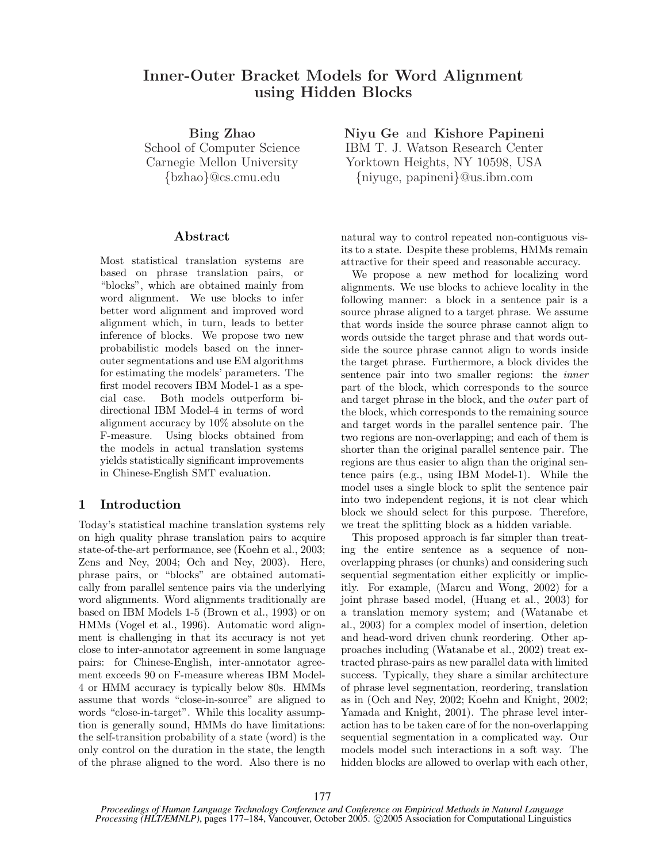# Inner-Outer Bracket Models for Word Alignment using Hidden Blocks

Bing Zhao School of Computer Science Carnegie Mellon University {bzhao}@cs.cmu.edu

## Abstract

Most statistical translation systems are based on phrase translation pairs, or "blocks", which are obtained mainly from word alignment. We use blocks to infer better word alignment and improved word alignment which, in turn, leads to better inference of blocks. We propose two new probabilistic models based on the innerouter segmentations and use EM algorithms for estimating the models' parameters. The first model recovers IBM Model-1 as a special case. Both models outperform bidirectional IBM Model-4 in terms of word alignment accuracy by 10% absolute on the F-measure. Using blocks obtained from the models in actual translation systems yields statistically significant improvements in Chinese-English SMT evaluation.

## 1 Introduction

Today's statistical machine translation systems rely on high quality phrase translation pairs to acquire state-of-the-art performance, see (Koehn et al., 2003; Zens and Ney, 2004; Och and Ney, 2003). Here, phrase pairs, or "blocks" are obtained automatically from parallel sentence pairs via the underlying word alignments. Word alignments traditionally are based on IBM Models 1-5 (Brown et al., 1993) or on HMMs (Vogel et al., 1996). Automatic word alignment is challenging in that its accuracy is not yet close to inter-annotator agreement in some language pairs: for Chinese-English, inter-annotator agreement exceeds 90 on F-measure whereas IBM Model-4 or HMM accuracy is typically below 80s. HMMs assume that words "close-in-source" are aligned to words "close-in-target". While this locality assumption is generally sound, HMMs do have limitations: the self-transition probability of a state (word) is the only control on the duration in the state, the length of the phrase aligned to the word. Also there is no Niyu Ge and Kishore Papineni IBM T. J. Watson Research Center Yorktown Heights, NY 10598, USA {niyuge, papineni}@us.ibm.com

natural way to control repeated non-contiguous visits to a state. Despite these problems, HMMs remain attractive for their speed and reasonable accuracy.

We propose a new method for localizing word alignments. We use blocks to achieve locality in the following manner: a block in a sentence pair is a source phrase aligned to a target phrase. We assume that words inside the source phrase cannot align to words outside the target phrase and that words outside the source phrase cannot align to words inside the target phrase. Furthermore, a block divides the sentence pair into two smaller regions: the inner part of the block, which corresponds to the source and target phrase in the block, and the outer part of the block, which corresponds to the remaining source and target words in the parallel sentence pair. The two regions are non-overlapping; and each of them is shorter than the original parallel sentence pair. The regions are thus easier to align than the original sentence pairs (e.g., using IBM Model-1). While the model uses a single block to split the sentence pair into two independent regions, it is not clear which block we should select for this purpose. Therefore, we treat the splitting block as a hidden variable.

This proposed approach is far simpler than treating the entire sentence as a sequence of nonoverlapping phrases (or chunks) and considering such sequential segmentation either explicitly or implicitly. For example, (Marcu and Wong, 2002) for a joint phrase based model, (Huang et al., 2003) for a translation memory system; and (Watanabe et al., 2003) for a complex model of insertion, deletion and head-word driven chunk reordering. Other approaches including (Watanabe et al., 2002) treat extracted phrase-pairs as new parallel data with limited success. Typically, they share a similar architecture of phrase level segmentation, reordering, translation as in (Och and Ney, 2002; Koehn and Knight, 2002; Yamada and Knight, 2001). The phrase level interaction has to be taken care of for the non-overlapping sequential segmentation in a complicated way. Our models model such interactions in a soft way. The hidden blocks are allowed to overlap with each other,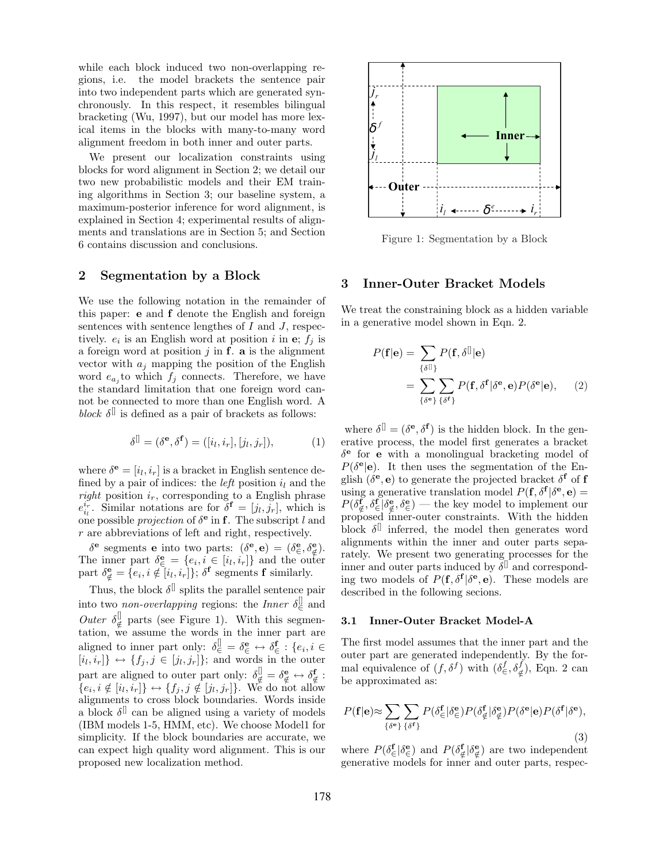while each block induced two non-overlapping regions, i.e. the model brackets the sentence pair into two independent parts which are generated synchronously. In this respect, it resembles bilingual bracketing (Wu, 1997), but our model has more lexical items in the blocks with many-to-many word alignment freedom in both inner and outer parts.

We present our localization constraints using blocks for word alignment in Section 2; we detail our two new probabilistic models and their EM training algorithms in Section 3; our baseline system, a maximum-posterior inference for word alignment, is explained in Section 4; experimental results of alignments and translations are in Section 5; and Section 6 contains discussion and conclusions.

# 2 Segmentation by a Block

We use the following notation in the remainder of this paper: e and f denote the English and foreign sentences with sentence lengthes of  $I$  and  $J$ , respectively.  $e_i$  is an English word at position i in e;  $f_j$  is a foreign word at position  $j$  in  $f$ . a is the alignment vector with  $a_j$  mapping the position of the English word  $e_{a_j}$  to which  $f_j$  connects. Therefore, we have the standard limitation that one foreign word cannot be connected to more than one English word. A block  $\delta^{[]}$  is defined as a pair of brackets as follows:

$$
\delta^{\parallel} = (\delta^{\mathbf{e}}, \delta^{\mathbf{f}}) = ([i_l, i_r], [j_l, j_r]),\tag{1}
$$

where  $\delta^{\mathbf{e}} = [i_l, i_r]$  is a bracket in English sentence defined by a pair of indices: the *left* position  $i_l$  and the right position  $i_r$ , corresponding to a English phrase  $e_{i_l}^{i_r}$ . Similar notations are for  $\delta^{\mathbf{f}} = [j_l, j_r]$ , which is one possible *projection* of  $\delta^{\mathbf{e}}$  in **f**. The subscript l and r are abbreviations of left and right, respectively.

δ<sup>ε</sup> segments **e** into two parts:  $(\delta^e, \mathbf{e}) = (\delta^e, \delta^e, \epsilon)$ . The inner part  $\delta_{\in}^{\mathbf{e}} = \{e_i, i \in [i_l, i_r]\}$  and the outer part  $\delta_{\notin}^{\mathbf{e}} = \{e_i, i \notin [i_l, i_r]\}; \delta^{\mathbf{f}}$  segments **f** similarly.

Thus, the block  $\delta^{[]}$  splits the parallel sentence pair into two *non-overlapping* regions: the *Inner*  $\delta_{\in}^{\parallel}$  and Outer  $\delta_d^{\parallel}$  $\psi_{\notin}^{\text{U}}$  parts (see Figure 1). With this segmentation, we assume the words in the inner part are aligned to inner part only:  $\delta \in \mathbb{S}^{\mathbb{I}} \in \delta_{\in}^{\mathbf{e}} \leftrightarrow \delta_{\in}^{\mathbf{f}}: \{e_i, i \in$  $[i_l, i_r] \leftrightarrow \{f_j, j \in [j_l, j_r]\};$  and words in the outer part are aligned to outer part only:  $\delta_{\notin}^{\parallel} = \delta_{\notin}^{\mathbf{e}} \leftrightarrow \delta_{\notin}^{\mathbf{f}}$ :  $\{e_i, i \notin [i_l, i_r]\} \leftrightarrow \{f_j, j \notin [j_l, j_r]\}.$  We do not allow alignments to cross block boundaries. Words inside a block  $\delta^{\parallel}$  can be aligned using a variety of models (IBM models 1-5, HMM, etc). We choose Model1 for simplicity. If the block boundaries are accurate, we can expect high quality word alignment. This is our proposed new localization method.



Figure 1: Segmentation by a Block

## 3 Inner-Outer Bracket Models

We treat the constraining block as a hidden variable in a generative model shown in Eqn. 2.

$$
P(\mathbf{f}|\mathbf{e}) = \sum_{\{\delta \mathbf{I}\}} P(\mathbf{f}, \delta \mathbf{I}|\mathbf{e})
$$

$$
= \sum_{\{\delta^{\mathbf{e}}\}} \sum_{\{\delta^{\mathbf{f}}\}} P(\mathbf{f}, \delta^{\mathbf{f}}|\delta^{\mathbf{e}}, \mathbf{e}) P(\delta^{\mathbf{e}}|\mathbf{e}), \qquad (2)
$$

where  $\delta^{[]} = (\delta^e, \delta^f)$  is the hidden block. In the generative process, the model first generates a bracket  $\delta^e$  for **e** with a monolingual bracketing model of  $P(\delta^{\mathbf{e}}|\mathbf{e})$ . It then uses the segmentation of the English  $(\delta^e, e)$  to generate the projected bracket  $\delta^f$  of f using a generative translation model  $P(\mathbf{f}, \delta^{\mathbf{f}} | \delta^{\mathbf{e}}, \mathbf{e}) =$  $P(\delta_{\notin}^{\mathbf{f}}, \delta_{\in}^{\mathbf{e}} | \delta_{\notin}^{\mathbf{e}}, \delta_{\in}^{\mathbf{e}})$  — the key model to implement our proposed inner-outer constraints. With the hidden block  $\delta^{\parallel}$  inferred, the model then generates word alignments within the inner and outer parts separately. We present two generating processes for the inner and outer parts induced by  $\delta^{[]}$  and corresponding two models of  $P(f, \delta^f | \delta^e, e)$ . These models are described in the following secions.

#### 3.1 Inner-Outer Bracket Model-A

The first model assumes that the inner part and the outer part are generated independently. By the formal equivalence of  $(f, \delta^f)$  with  $(\delta \frac{f}{\epsilon}, \delta \frac{f}{\epsilon})$ , Eqn. 2 can be approximated as:

$$
P(\mathbf{f}|\mathbf{e}) \approx \sum_{\{\delta^{\mathbf{e}}\}} \sum_{\{\delta^{\mathbf{f}}\}} P(\delta^{\mathbf{f}}_{\infty}|\delta^{\mathbf{e}}_{\infty}) P(\delta^{\mathbf{f}}_{\notin}|\delta^{\mathbf{e}}_{\notin}) P(\delta^{\mathbf{e}}|\mathbf{e}) P(\delta^{\mathbf{f}}|\delta^{\mathbf{e}}),
$$
\n(3)

where  $P(\delta_{\in}^{\mathbf{f}}|\delta_{\in}^{\mathbf{e}})$  and  $P(\delta_{\notin}^{\mathbf{f}}|\delta_{\notin}^{\mathbf{e}})$  are two independent generative models for inner and outer parts, respec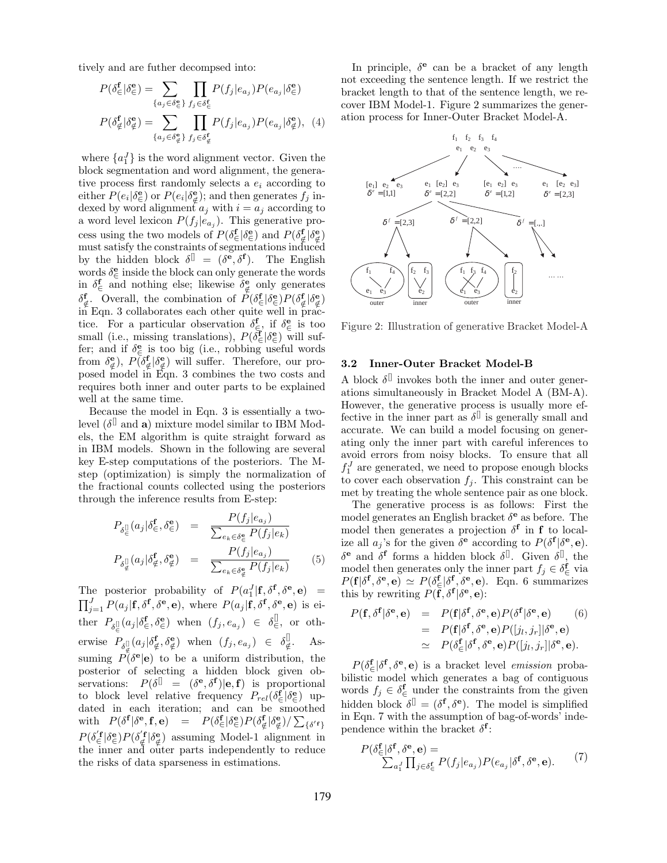tively and are futher decompsed into:

$$
P(\delta_{\in}^{\mathbf{f}}|\delta_{\in}^{\mathbf{e}}) = \sum_{\{a_j \in \delta_{\in}^{\mathbf{e}}\}} \prod_{f_j \in \delta_{\in}^{\mathbf{f}}} P(f_j|e_{a_j}) P(e_{a_j}|\delta_{\in}^{\mathbf{e}})
$$

$$
P(\delta_{\notin}^{\mathbf{f}}|\delta_{\notin}^{\mathbf{e}}) = \sum_{\{a_j \in \delta_{\notin}^{\mathbf{e}}\}} \prod_{f_j \in \delta_{\notin}^{\mathbf{f}}} P(f_j|e_{a_j}) P(e_{a_j}|\delta_{\notin}^{\mathbf{e}}), \quad (4)
$$

where  ${a_1^J}$  is the word alignment vector. Given the block segmentation and word alignment, the generative process first randomly selects a  $e_i$  according to either  $P(e_i|\delta_{\epsilon}^{\mathbf{e}})$  or  $P(e_i|\delta_{\epsilon}^{\mathbf{e}})$ ; and then generates  $f_j$  indexed by word alignment  $a_j$  with  $i = a_j$  according to a word level lexicon  $P(f_j | e_{a_j})$ . This generative process using the two models of  $P(\delta^{\mathbf{f}}_{\infty} | \delta^{\mathbf{e}}_{\in})$  and  $P(\delta^{\mathbf{f}}_{\notin} | \delta^{\mathbf{e}}_{\notin})$ must satisfy the constraints of segmentations induced by the hidden block  $\delta^{[]} = (\delta^e, \delta^f)$ . The English words  $\delta_{\in}^{\mathbf{e}}$  inside the block can only generate the words in  $\delta_{\epsilon}^{\mathbf{f}}$  and nothing else; likewise  $\delta_{\epsilon}^{\mathbf{e}}$  only generates  $\delta_{\notin}^{\mathbf{f}}$ . Overall, the combination of  $P(\delta_{\in}^{\mathbf{f}}|\delta_{\in}^{\mathbf{e}})P(\delta_{\notin}^{\mathbf{f}}|\delta_{\notin}^{\mathbf{e}})$  $\overline{\text{in}}$  Eqn. 3 collaborates each other quite well in practice. For a particular observation  $\delta_{\epsilon}^{\mathbf{f}}$ , if  $\delta_{\epsilon}^{\mathbf{e}}$  is too small (i.e., missing translations),  $P(\delta_{\epsilon}^{\mathbf{f}}|\delta_{\epsilon}^{\mathbf{e}})$  will suffer; and if  $\delta \infty$  is too big (i.e., robbing useful words from  $\delta_{\xi}^{\mathbf{e}}$ ),  $P(\delta_{\xi}^{\mathbf{f}}|\delta_{\xi}^{\mathbf{e}})$  will suffer. Therefore, our proposed model in Eqn. 3 combines the two costs and requires both inner and outer parts to be explained well at the same time.

Because the model in Eqn. 3 is essentially a twolevel  $(\delta^{\parallel}$  and **a**) mixture model similar to IBM Models, the EM algorithm is quite straight forward as in IBM models. Shown in the following are several key E-step computations of the posteriors. The Mstep (optimization) is simply the normalization of the fractional counts collected using the posteriors through the inference results from E-step:

$$
P_{\delta_{\xi}^{\parallel}}(a_j|\delta_{\xi}^{\mathbf{f}}, \delta_{\xi}^{\mathbf{e}}) = \frac{P(f_j|e_{a_j})}{\sum_{e_k \in \delta_{\xi}^{\mathbf{e}}} P(f_j|e_k)}
$$
  

$$
P_{\delta_{\xi}^{\parallel}}(a_j|\delta_{\xi}^{\mathbf{f}}, \delta_{\xi}^{\mathbf{e}}) = \frac{P(f_j|e_{a_j})}{\sum_{e_k \in \delta_{\xi}^{\mathbf{e}}} P(f_j|e_k)}
$$
(5)

The posterior probability of  $P(a_1^J | \mathbf{f}, \delta^{\mathbf{f}}, \delta^{\mathbf{e}}, \mathbf{e}) = \prod_{j=1}^J P(a_j | \mathbf{f}, \delta^{\mathbf{f}}, \delta^{\mathbf{e}}, \mathbf{e})$ , where  $P(a_j | \mathbf{f}, \delta^{\mathbf{f}}, \delta^{\mathbf{e}}, \mathbf{e})$  is either  $P_{\delta \in \mathcal{S}}[a_j | \delta \in^{\mathbf{f}}, \delta \in^{\mathbf{e}})$  when  $(f_j, e_{a_j}) \in \delta \in^{\mathcal{S}}$ , or otherwise  $P_{\delta_{\not\in}^{[1]}}(a_j|\delta_{\not\in}^{\mathbf{f}},\delta_{\not\in}^{\mathbf{e}})$  when  $(f_j,e_{a_j}) \in \delta_{\not\in}^{[1]}$  $\downarrow_{\notin}^{\sqcup}$ . Assuming  $\tilde{P}(\delta^{\mathbf{e}}|\mathbf{e})$  to be a uniform distribution, the posterior of selecting a hidden block given observations:  $P(\delta^{\parallel} = (\delta^{\mathbf{e}}, \delta^{\mathbf{f}})|\mathbf{e}, \mathbf{f})$  is proportional to block level relative frequency  $P_{rel}(\delta_{\in}^{\mathbf{f}}|\delta_{\in}^{\mathbf{e}})$  updated in each iteration; and can be smoothed with  $P(\delta^{\mathbf{f}}|\delta^{\mathbf{e}},\mathbf{f},\mathbf{e}) = P(\delta^{\mathbf{f}}_{\in})P(\delta^{\mathbf{e}}_{\notin})P(\delta^{\mathbf{e}}_{\notin})/\sum_{\{\delta'\mathbf{f}\}}$  $P(\delta_{\in}^{'f} | \delta_{\in}^{e}) P(\delta_{\notin}^{'f} | \delta_{\notin}^{e})$  assuming Model-1 alignment in the inner and outer parts independently to reduce the risks of data sparseness in estimations.

In principle,  $\delta^e$  can be a bracket of any length not exceeding the sentence length. If we restrict the bracket length to that of the sentence length, we recover IBM Model-1. Figure 2 summarizes the generation process for Inner-Outer Bracket Model-A.



Figure 2: Illustration of generative Bracket Model-A

### 3.2 Inner-Outer Bracket Model-B

A block  $\delta^{\parallel}$  invokes both the inner and outer generations simultaneously in Bracket Model A (BM-A). However, the generative process is usually more effective in the inner part as  $\delta^{\parallel}$  is generally small and accurate. We can build a model focusing on generating only the inner part with careful inferences to avoid errors from noisy blocks. To ensure that all  $f_1^J$  are generated, we need to propose enough blocks to cover each observation  $f_i$ . This constraint can be met by treating the whole sentence pair as one block.

The generative process is as follows: First the model generates an English bracket  $\delta^{\mathbf{e}}$  as before. The model then generates a projection  $\delta^f$  in f to localize all  $a_j$ 's for the given  $\delta^{\mathbf{e}}$  according to  $P(\delta^{\mathbf{f}}|\delta^{\mathbf{e}},\mathbf{e})$ .  $\delta^e$  and  $\delta^f$  forms a hidden block  $\delta^{\parallel}$ . Given  $\delta^{\parallel}$ , the model then generates only the inner part  $f_j \in \delta \frac{\mathbf{f}}{\epsilon}$  via  $P(\mathbf{f}|\delta^{\mathbf{f}}, \delta^{\mathbf{e}}, \mathbf{e}) \simeq P(\delta^{\mathbf{f}}_{\infty}|\delta^{\mathbf{f}}, \delta^{\mathbf{e}}, \mathbf{e}).$  Eqn. 6 summarizes this by rewriting  $P(\mathbf{f}, \delta^{\mathbf{f}} | \delta^{\mathbf{e}}, \mathbf{e})$ :

$$
P(\mathbf{f}, \delta^{\mathbf{f}} | \delta^{\mathbf{e}}, \mathbf{e}) = P(\mathbf{f} | \delta^{\mathbf{f}}, \delta^{\mathbf{e}}, \mathbf{e}) P(\delta^{\mathbf{f}} | \delta^{\mathbf{e}}, \mathbf{e})
$$
(6)  
=  $P(\mathbf{f} | \delta^{\mathbf{f}}, \delta^{\mathbf{e}}, \mathbf{e}) P([j_l, j_r] | \delta^{\mathbf{e}}, \mathbf{e})$   
 $\simeq P(\delta^{\mathbf{f}}_{\infty} | \delta^{\mathbf{f}}, \delta^{\mathbf{e}}, \mathbf{e}) P([j_l, j_r] | \delta^{\mathbf{e}}, \mathbf{e}).$ 

 $P(\delta_{\in}^{\mathbf{f}}|\delta^{\mathbf{f}},\delta^{\mathbf{e}},\mathbf{e})$  is a bracket level *emission* probabilistic model which generates a bag of contiguous words  $f_j \in \delta \frac{\mathbf{f}}{\epsilon}$  under the constraints from the given hidden block  $\delta^{[]} = (\delta^{\mathbf{f}}, \delta^{\mathbf{e}})$ . The model is simplified in Eqn. 7 with the assumption of bag-of-words' independence within the bracket  $\delta^{\mathbf{f}}$ :

$$
P(\delta^{\mathbf{f}}_{\in}|\delta^{\mathbf{f}}, \delta^{\mathbf{e}}, \mathbf{e}) = \sum_{a'_1} \prod_{j \in \delta^{\mathbf{f}}_{\in}} P(f_j|e_{a_j}) P(e_{a_j}|\delta^{\mathbf{f}}, \delta^{\mathbf{e}}, \mathbf{e}).
$$
 (7)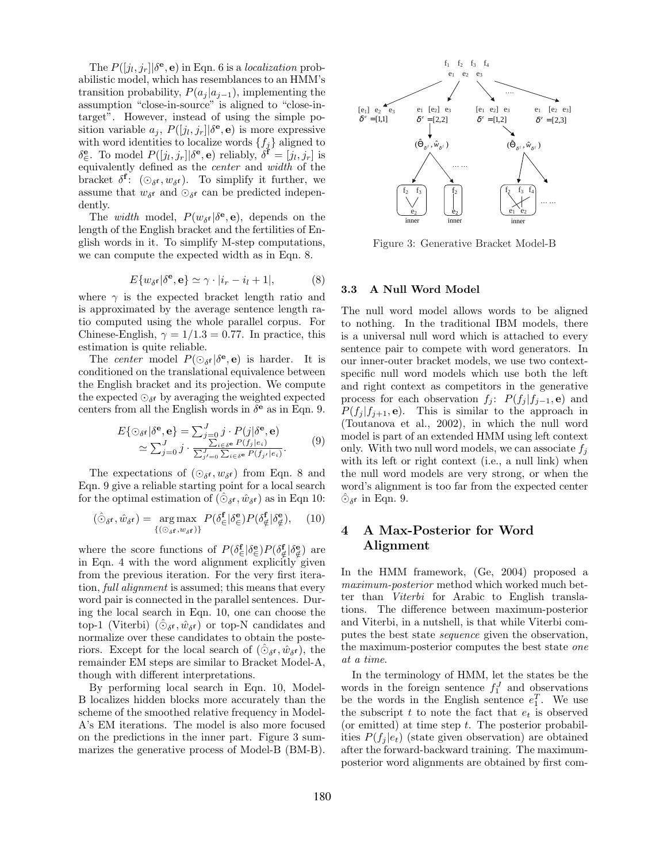The  $P([j_l, j_r] | \delta^{\mathbf{e}}, \mathbf{e})$  in Eqn. 6 is a *localization* probabilistic model, which has resemblances to an HMM's transition probability,  $P(a_i | a_{i-1})$ , implementing the assumption "close-in-source" is aligned to "close-intarget". However, instead of using the simple position variable  $a_j$ ,  $P([j_l, j_r] | \delta^e, \mathbf{e})$  is more expressive with word identities to localize words  $\{f_j\}$  aligned to  $\delta_{\in}^{\mathbf{e}}$ . To model  $P([j_l, j_r] | \delta^{\mathbf{e}}, \mathbf{e})$  reliably,  $\delta^{\mathbf{f}} = [j_l, j_r]$  is equivalently defined as the center and width of the bracket  $\delta^{\mathbf{f}}$ :  $(\odot_{\delta^{\mathbf{f}}}, w_{\delta^{\mathbf{f}}})$ . To simplify it further, we assume that  $w_{\delta}$  and  $\odot_{\delta}$  can be predicted independently.

The *width* model,  $P(w_{\delta} \epsilon | \delta^{\mathbf{e}}, \mathbf{e})$ , depends on the length of the English bracket and the fertilities of English words in it. To simplify M-step computations, we can compute the expected width as in Eqn. 8.

$$
E\{w_{\delta f}|\delta^{\mathbf{e}}, \mathbf{e}\} \simeq \gamma \cdot |i_r - i_l + 1|,\tag{8}
$$

where  $\gamma$  is the expected bracket length ratio and is approximated by the average sentence length ratio computed using the whole parallel corpus. For Chinese-English,  $\gamma = 1/1.3 = 0.77$ . In practice, this estimation is quite reliable.

The center model  $P(\bigcirc_{\delta} \beta^e, e)$  is harder. It is conditioned on the translational equivalence between the English bracket and its projection. We compute the expected  $\odot_{\delta}$  by averaging the weighted expected centers from all the English words in  $\delta^{\mathbf{e}}$  as in Eqn. 9.

$$
E\{\odot_{\delta} \mathbf{e} | \delta \mathbf{e}, \mathbf{e}\} = \sum_{j=0}^{J} j \cdot P(j | \delta \mathbf{e}, \mathbf{e})
$$
  
 
$$
\simeq \sum_{j=0}^{J} j \cdot \frac{\sum_{i \in \delta} e P(j_i | e_i)}{\sum_{j'=0}^{J} \sum_{i \in \delta} e P(j_j | e_i)}.
$$
 (9)

The expectations of  $(\odot_{\delta} f, w_{\delta} f)$  from Eqn. 8 and Eqn. 9 give a reliable starting point for a local search for the optimal estimation of  $(\hat{\odot}_{\delta^{\mathbf{f}}}, \hat{w}_{\delta^{\mathbf{f}}})$  as in Eqn 10:

$$
(\hat{\odot}_{\delta^{\mathbf{f}}}, \hat{w}_{\delta^{\mathbf{f}}}) = \underset{\{(\odot_{\delta^{\mathbf{f}}}, w_{\delta^{\mathbf{f}}})\}}{\arg \max} P(\delta^{\mathbf{f}}_{\in} | \delta^{\mathbf{e}}_{\in}) P(\delta^{\mathbf{f}}_{\notin} | \delta^{\mathbf{e}}_{\notin}), \quad (10)
$$

where the score functions of  $P(\delta_{\in}^{\mathbf{f}}|\delta_{\in}^{\mathbf{e}})P(\delta_{\notin}^{\mathbf{f}}|\delta_{\notin}^{\mathbf{e}})$  are in Eqn. 4 with the word alignment explicitly given from the previous iteration. For the very first iteration, full alignment is assumed; this means that every word pair is connected in the parallel sentences. During the local search in Eqn. 10, one can choose the top-1 (Viterbi)  $(\hat{\circ}_{\delta^f}, \hat{w}_{\delta^f})$  or top-N candidates and normalize over these candidates to obtain the posteriors. Except for the local search of  $(\hat{\odot}_{\delta^{\mathbf{f}}}, \hat{w}_{\delta^{\mathbf{f}}}),$  the remainder EM steps are similar to Bracket Model-A, though with different interpretations.

By performing local search in Eqn. 10, Model-B localizes hidden blocks more accurately than the scheme of the smoothed relative frequency in Model-A's EM iterations. The model is also more focused on the predictions in the inner part. Figure 3 summarizes the generative process of Model-B (BM-B).



Figure 3: Generative Bracket Model-B

#### 3.3 A Null Word Model

The null word model allows words to be aligned to nothing. In the traditional IBM models, there is a universal null word which is attached to every sentence pair to compete with word generators. In our inner-outer bracket models, we use two contextspecific null word models which use both the left and right context as competitors in the generative process for each observation  $f_j$ :  $P(f_j | f_{j-1}, \mathbf{e})$  and  $P(f_j | f_{j+1}, \mathbf{e})$ . This is similar to the approach in (Toutanova et al., 2002), in which the null word model is part of an extended HMM using left context only. With two null word models, we can associate  $f_i$ with its left or right context (i.e., a null link) when the null word models are very strong, or when the word's alignment is too far from the expected center  $\hat{\odot}_{\delta}$  in Eqn. 9.

# 4 A Max-Posterior for Word Alignment

In the HMM framework, (Ge, 2004) proposed a maximum-posterior method which worked much better than Viterbi for Arabic to English translations. The difference between maximum-posterior and Viterbi, in a nutshell, is that while Viterbi computes the best state sequence given the observation, the maximum-posterior computes the best state one at a time.

In the terminology of HMM, let the states be the words in the foreign sentence  $f_1^J$  and observations be the words in the English sentence  $e_1^T$ . We use the subscript  $t$  to note the fact that  $e_t$  is observed (or emitted) at time step  $t$ . The posterior probabilities  $P(f_i | e_t)$  (state given observation) are obtained after the forward-backward training. The maximumposterior word alignments are obtained by first com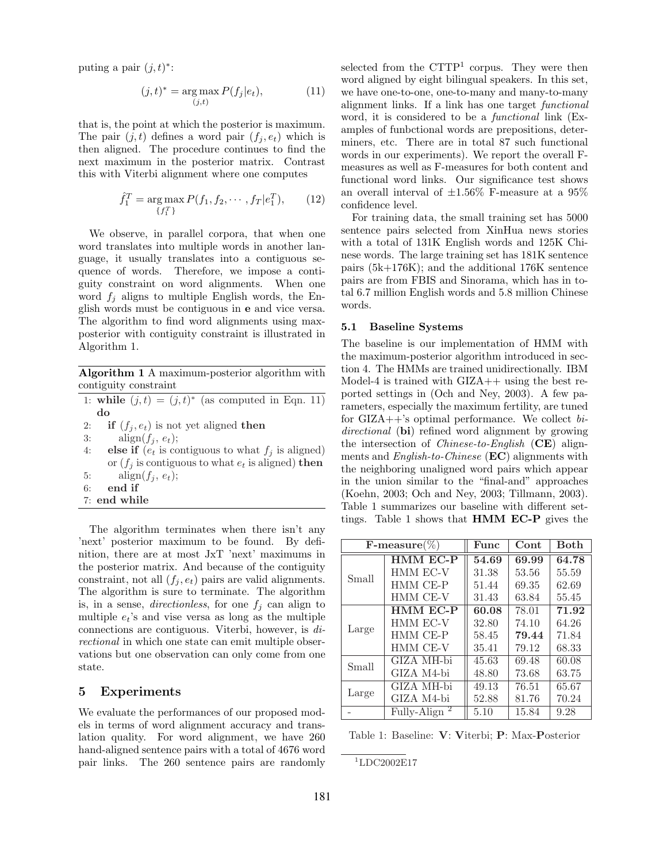puting a pair  $(j, t)^*$ :

$$
(j,t)^* = \underset{(j,t)}{\arg \max} P(f_j|e_t), \tag{11}
$$

that is, the point at which the posterior is maximum. The pair  $(j, t)$  defines a word pair  $(f_i, e_t)$  which is then aligned. The procedure continues to find the next maximum in the posterior matrix. Contrast this with Viterbi alignment where one computes

$$
\hat{f}_1^T = \underset{\{f_1^T\}}{\text{arg}\max} P(f_1, f_2, \cdots, f_T | e_1^T), \qquad (12)
$$

We observe, in parallel corpora, that when one word translates into multiple words in another language, it usually translates into a contiguous sequence of words. Therefore, we impose a contiguity constraint on word alignments. When one word  $f_j$  aligns to multiple English words, the English words must be contiguous in e and vice versa. The algorithm to find word alignments using maxposterior with contiguity constraint is illustrated in Algorithm 1.

Algorithm 1 A maximum-posterior algorithm with contiguity constraint

- 1: while  $(j,t) = (j,t)^*$  (as computed in Eqn. 11) do
- 2: if  $(f_i, e_t)$  is not yet aligned then

3: align $(f_i, e_t);$ 

- 4: else if  $(e_t$  is contiguous to what  $f_i$  is aligned) or  $(f_i$  is contiguous to what  $e_t$  is aligned) then 5: align $(f_i, e_t);$ 6: end if
- 7: end while

The algorithm terminates when there isn't any 'next' posterior maximum to be found. By definition, there are at most JxT 'next' maximums in the posterior matrix. And because of the contiguity constraint, not all  $(f_i, e_t)$  pairs are valid alignments. The algorithm is sure to terminate. The algorithm is, in a sense, *directionless*, for one  $f_j$  can align to multiple  $e_t$ 's and vise versa as long as the multiple connections are contiguous. Viterbi, however, is directional in which one state can emit multiple observations but one observation can only come from one state.

# 5 Experiments

We evaluate the performances of our proposed models in terms of word alignment accuracy and translation quality. For word alignment, we have 260 hand-aligned sentence pairs with a total of 4676 word pair links. The 260 sentence pairs are randomly

selected from the CTTP<sup>1</sup> corpus. They were then word aligned by eight bilingual speakers. In this set, we have one-to-one, one-to-many and many-to-many alignment links. If a link has one target functional word, it is considered to be a *functional* link (Examples of funbctional words are prepositions, determiners, etc. There are in total 87 such functional words in our experiments). We report the overall Fmeasures as well as F-measures for both content and functional word links. Our significance test shows an overall interval of  $\pm 1.56\%$  F-measure at a 95% confidence level.

For training data, the small training set has 5000 sentence pairs selected from XinHua news stories with a total of 131K English words and 125K Chinese words. The large training set has 181K sentence pairs (5k+176K); and the additional 176K sentence pairs are from FBIS and Sinorama, which has in total 6.7 million English words and 5.8 million Chinese words.

#### 5.1 Baseline Systems

The baseline is our implementation of HMM with the maximum-posterior algorithm introduced in section 4. The HMMs are trained unidirectionally. IBM Model-4 is trained with  $\text{GIZA++}$  using the best reported settings in (Och and Ney, 2003). A few parameters, especially the maximum fertility, are tuned for  $GIZA++$ 's optimal performance. We collect bidirectional (bi) refined word alignment by growing the intersection of *Chinese-to-English* ( $CE$ ) alignments and *English-to-Chinese* (**EC**) alignments with the neighboring unaligned word pairs which appear in the union similar to the "final-and" approaches (Koehn, 2003; Och and Ney, 2003; Tillmann, 2003). Table 1 summarizes our baseline with different settings. Table 1 shows that HMM EC-P gives the

| $\textbf{F-measure}(\%)$ |                          | Func  | Cont  | <b>Both</b> |
|--------------------------|--------------------------|-------|-------|-------------|
| Small                    | <b>HMM EC-P</b>          | 54.69 | 69.99 | 64.78       |
|                          | HMM EC-V                 | 31.38 | 53.56 | 55.59       |
|                          | <b>HMM CE-P</b>          | 51.44 | 69.35 | 62.69       |
|                          | HMM CE-V                 | 31.43 | 63.84 | 55.45       |
| Large                    | <b>HMM EC-P</b>          | 60.08 | 78.01 | 71.92       |
|                          | <b>HMM EC-V</b>          | 32.80 | 74.10 | 64.26       |
|                          | HMM CE-P                 | 58.45 | 79.44 | 71.84       |
|                          | HMM CE-V                 | 35.41 | 79.12 | 68.33       |
| Small                    | GIZA MH-bi               | 45.63 | 69.48 | 60.08       |
|                          | GIZA M4-bi               | 48.80 | 73.68 | 63.75       |
| Large                    | GIZA MH-bi               | 49.13 | 76.51 | 65.67       |
|                          | GIZA M4-bi               | 52.88 | 81.76 | 70.24       |
|                          | Fully-Align <sup>2</sup> | 5.10  | 15.84 | 9.28        |

Table 1: Baseline: V: Viterbi; P: Max-Posterior

```
1^1LDC2002E17
```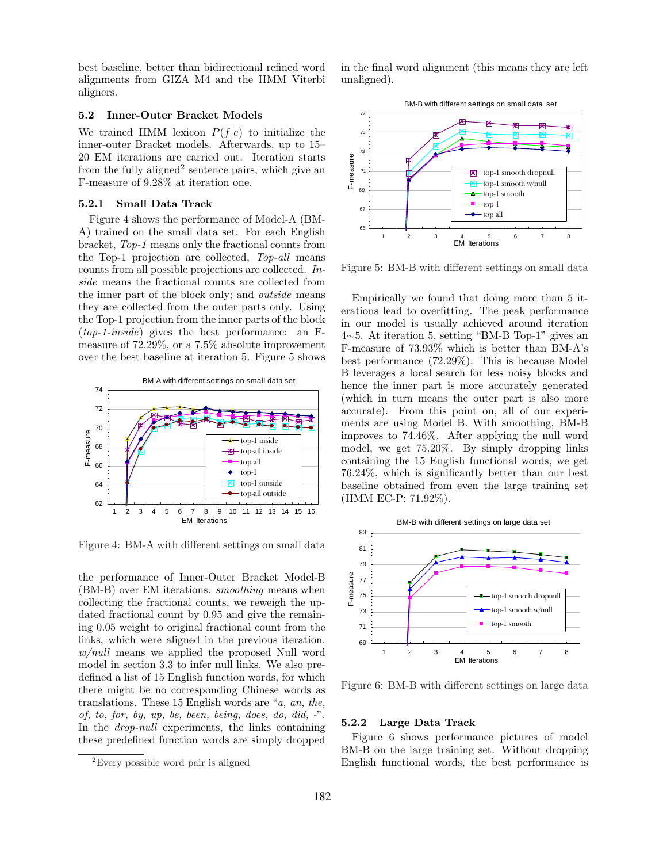best baseline, better than bidirectional refined word alignments from GIZA M4 and the HMM Viterbi aligners.

#### 5.2 Inner-Outer Bracket Models

We trained HMM lexicon  $P(f|e)$  to initialize the inner-outer Bracket models. Afterwards, up to 15– 20 EM iterations are carried out. Iteration starts from the fully aligned<sup>2</sup> sentence pairs, which give an F-measure of 9.28% at iteration one.

#### 5.2.1 Small Data Track

Figure 4 shows the performance of Model-A (BM-A) trained on the small data set. For each English bracket, Top-1 means only the fractional counts from the Top-1 projection are collected, Top-all means counts from all possible projections are collected. Inside means the fractional counts are collected from the inner part of the block only; and outside means they are collected from the outer parts only. Using the Top-1 projection from the inner parts of the block (top-1-inside) gives the best performance: an Fmeasure of 72.29%, or a 7.5% absolute improvement over the best baseline at iteration 5. Figure 5 shows



Figure 4: BM-A with different settings on small data

the performance of Inner-Outer Bracket Model-B (BM-B) over EM iterations. smoothing means when collecting the fractional counts, we reweigh the updated fractional count by 0.95 and give the remaining 0.05 weight to original fractional count from the links, which were aligned in the previous iteration. w/null means we applied the proposed Null word model in section 3.3 to infer null links. We also predefined a list of 15 English function words, for which there might be no corresponding Chinese words as translations. These 15 English words are "a, an, the, of, to, for, by, up, be, been, being, does, do, did, -". In the *drop-null* experiments, the links containing these predefined function words are simply dropped

in the final word alignment (this means they are left unaligned).



Figure 5: BM-B with different settings on small data

Empirically we found that doing more than 5 iterations lead to overfitting. The peak performance in our model is usually achieved around iteration 4∼5. At iteration 5, setting "BM-B Top-1" gives an F-measure of 73.93% which is better than BM-A's best performance (72.29%). This is because Model B leverages a local search for less noisy blocks and hence the inner part is more accurately generated (which in turn means the outer part is also more accurate). From this point on, all of our experiments are using Model B. With smoothing, BM-B improves to 74.46%. After applying the null word model, we get 75.20%. By simply dropping links containing the 15 English functional words, we get 76.24%, which is significantly better than our best baseline obtained from even the large training set (HMM EC-P: 71.92%).



Figure 6: BM-B with different settings on large data

#### 5.2.2 Large Data Track

Figure 6 shows performance pictures of model BM-B on the large training set. Without dropping English functional words, the best performance is

<sup>&</sup>lt;sup>2</sup>Every possible word pair is aligned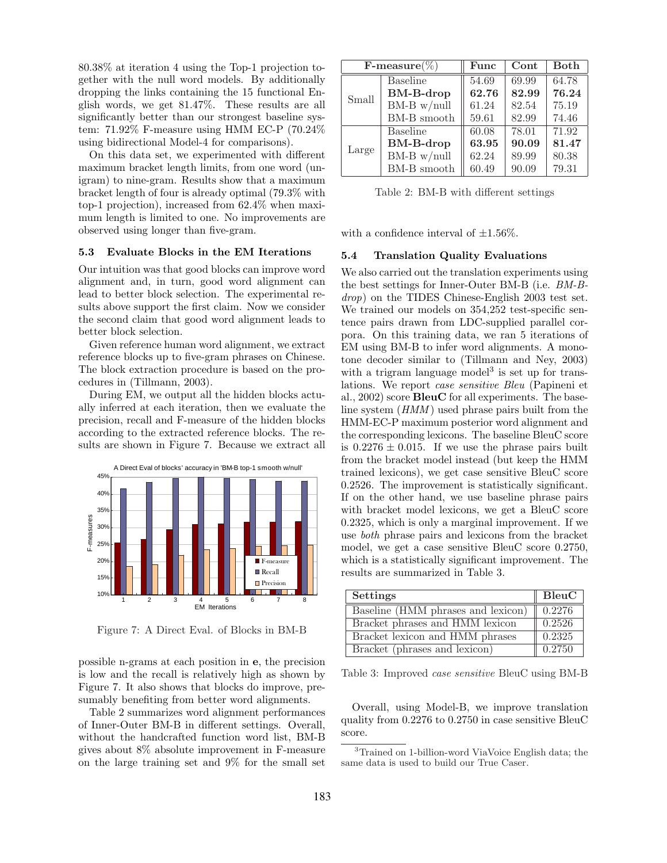80.38% at iteration 4 using the Top-1 projection together with the null word models. By additionally dropping the links containing the 15 functional English words, we get 81.47%. These results are all significantly better than our strongest baseline system: 71.92% F-measure using HMM EC-P (70.24% using bidirectional Model-4 for comparisons).

On this data set, we experimented with different maximum bracket length limits, from one word (unigram) to nine-gram. Results show that a maximum bracket length of four is already optimal (79.3% with top-1 projection), increased from 62.4% when maximum length is limited to one. No improvements are observed using longer than five-gram.

#### 5.3 Evaluate Blocks in the EM Iterations

Our intuition was that good blocks can improve word alignment and, in turn, good word alignment can lead to better block selection. The experimental results above support the first claim. Now we consider the second claim that good word alignment leads to better block selection.

Given reference human word alignment, we extract reference blocks up to five-gram phrases on Chinese. The block extraction procedure is based on the procedures in (Tillmann, 2003).

During EM, we output all the hidden blocks actually inferred at each iteration, then we evaluate the precision, recall and F-measure of the hidden blocks according to the extracted reference blocks. The results are shown in Figure 7. Because we extract all



Figure 7: A Direct Eval. of Blocks in BM-B

possible n-grams at each position in e, the precision is low and the recall is relatively high as shown by Figure 7. It also shows that blocks do improve, presumably benefiting from better word alignments.

Table 2 summarizes word alignment performances of Inner-Outer BM-B in different settings. Overall, without the handcrafted function word list, BM-B gives about 8% absolute improvement in F-measure on the large training set and 9% for the small set

| $\textbf{F-measure}(\%)$ |                  | Func  | Cont  | <b>Both</b> |
|--------------------------|------------------|-------|-------|-------------|
| Small                    | <b>Baseline</b>  | 54.69 | 69.99 | 64.78       |
|                          | <b>BM-B-drop</b> | 62.76 | 82.99 | 76.24       |
|                          | $BM-B$ w/null    | 61.24 | 82.54 | 75.19       |
|                          | BM-B smooth      | 59.61 | 82.99 | 74.46       |
| Large                    | <b>Baseline</b>  | 60.08 | 78.01 | 71.92       |
|                          | <b>BM-B-drop</b> | 63.95 | 90.09 | 81.47       |
|                          | $BM-B$ w/null    | 62.24 | 89.99 | 80.38       |
|                          | BM-B smooth      | 60.49 | 90.09 | 79.31       |

Table 2: BM-B with different settings

with a confidence interval of  $\pm 1.56\%$ .

#### 5.4 Translation Quality Evaluations

We also carried out the translation experiments using the best settings for Inner-Outer BM-B (i.e. BM-Bdrop) on the TIDES Chinese-English 2003 test set. We trained our models on 354,252 test-specific sentence pairs drawn from LDC-supplied parallel corpora. On this training data, we ran 5 iterations of EM using BM-B to infer word alignments. A monotone decoder similar to (Tillmann and Ney, 2003) with a trigram language model<sup>3</sup> is set up for translations. We report case sensitive Bleu (Papineni et al., 2002) score BleuC for all experiments. The baseline system (*HMM*) used phrase pairs built from the HMM-EC-P maximum posterior word alignment and the corresponding lexicons. The baseline BleuC score is  $0.2276 \pm 0.015$ . If we use the phrase pairs built from the bracket model instead (but keep the HMM trained lexicons), we get case sensitive BleuC score 0.2526. The improvement is statistically significant. If on the other hand, we use baseline phrase pairs with bracket model lexicons, we get a BleuC score 0.2325, which is only a marginal improvement. If we use both phrase pairs and lexicons from the bracket model, we get a case sensitive BleuC score 0.2750, which is a statistically significant improvement. The results are summarized in Table 3.

| <b>Settings</b>                    | BleuC  |  |
|------------------------------------|--------|--|
| Baseline (HMM phrases and lexicon) | 0.2276 |  |
| Bracket phrases and HMM lexicon    | 0.2526 |  |
| Bracket lexicon and HMM phrases    | 0.2325 |  |
| Bracket (phrases and lexicon)      | 0.2750 |  |

Table 3: Improved case sensitive BleuC using BM-B

Overall, using Model-B, we improve translation quality from 0.2276 to 0.2750 in case sensitive BleuC score.

<sup>3</sup>Trained on 1-billion-word ViaVoice English data; the same data is used to build our True Caser.